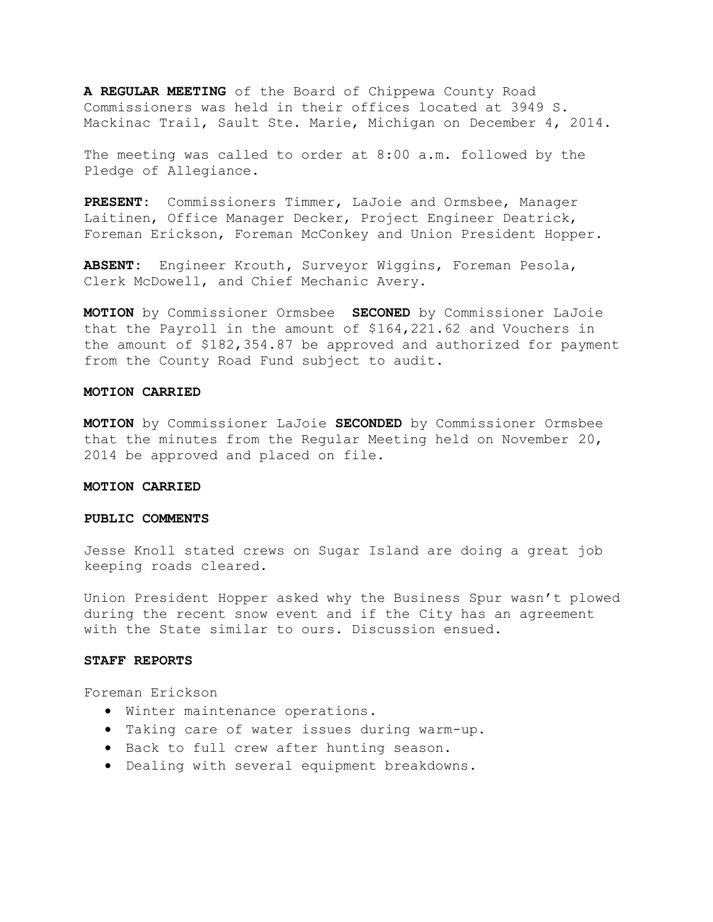**A REGULAR MEETING** of the Board of Chippewa County Road Commissioners was held in their offices located at 3949 S. Mackinac Trail, Sault Ste. Marie, Michigan on December 4, 2014.

The meeting was called to order at 8:00 a.m. followed by the Pledge of Allegiance.

**PRESENT:** Commissioners Timmer, LaJoie and Ormsbee, Manager Laitinen, Office Manager Decker, Project Engineer Deatrick, Foreman Erickson, Foreman McConkey and Union President Hopper.

**ABSENT:** Engineer Krouth**,** Surveyor Wiggins, Foreman Pesola, Clerk McDowell, and Chief Mechanic Avery.

**MOTION** by Commissioner Ormsbee **SECONED** by Commissioner LaJoie that the Payroll in the amount of \$164,221.62 and Vouchers in the amount of \$182,354.87 be approved and authorized for payment from the County Road Fund subject to audit.

# **MOTION CARRIED**

**MOTION** by Commissioner LaJoie **SECONDED** by Commissioner Ormsbee that the minutes from the Regular Meeting held on November 20, 2014 be approved and placed on file.

# **MOTION CARRIED**

### **PUBLIC COMMENTS**

Jesse Knoll stated crews on Sugar Island are doing a great job keeping roads cleared.

Union President Hopper asked why the Business Spur wasn't plowed during the recent snow event and if the City has an agreement with the State similar to ours. Discussion ensued.

#### **STAFF REPORTS**

Foreman Erickson

- · Winter maintenance operations.
- · Taking care of water issues during warm-up.
- · Back to full crew after hunting season.
- · Dealing with several equipment breakdowns.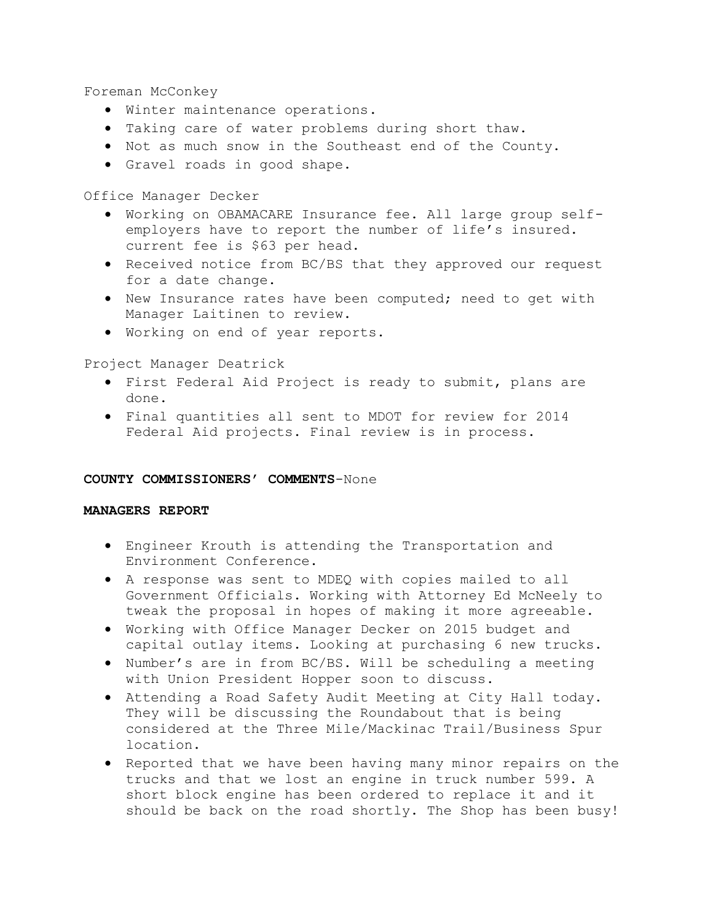Foreman McConkey

- · Winter maintenance operations.
- · Taking care of water problems during short thaw.
- · Not as much snow in the Southeast end of the County.
- · Gravel roads in good shape.

Office Manager Decker

- · Working on OBAMACARE Insurance fee. All large group selfemployers have to report the number of life's insured. current fee is \$63 per head.
- · Received notice from BC/BS that they approved our request for a date change.
- · New Insurance rates have been computed; need to get with Manager Laitinen to review.
- · Working on end of year reports.

Project Manager Deatrick

- · First Federal Aid Project is ready to submit, plans are done.
- · Final quantities all sent to MDOT for review for 2014 Federal Aid projects. Final review is in process.

#### **COUNTY COMMISSIONERS' COMMENTS**-None

#### **MANAGERS REPORT**

- · Engineer Krouth is attending the Transportation and Environment Conference.
- · A response was sent to MDEQ with copies mailed to all Government Officials. Working with Attorney Ed McNeely to tweak the proposal in hopes of making it more agreeable.
- · Working with Office Manager Decker on 2015 budget and capital outlay items. Looking at purchasing 6 new trucks.
- · Number's are in from BC/BS. Will be scheduling a meeting with Union President Hopper soon to discuss.
- · Attending a Road Safety Audit Meeting at City Hall today. They will be discussing the Roundabout that is being considered at the Three Mile/Mackinac Trail/Business Spur location.
- · Reported that we have been having many minor repairs on the trucks and that we lost an engine in truck number 599. A short block engine has been ordered to replace it and it should be back on the road shortly. The Shop has been busy!